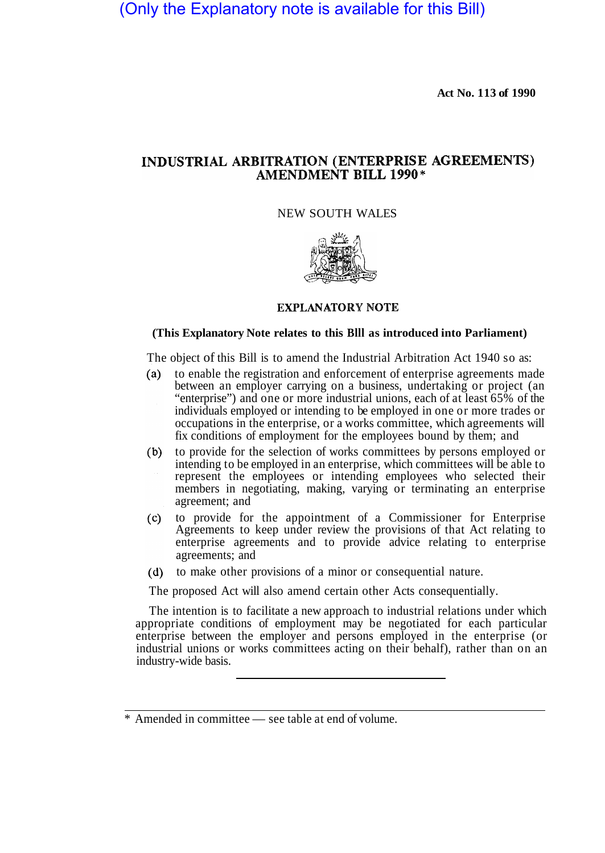(Only the Explanatory note is available for this Bill)

**Act No. 113 of 1990** 

# INDUSTRIAL ARBITRATION (ENTERPRISE AGREEMENTS) **AMENDMENT BILL 1990\***

NEW SOUTH WALES



# **EXPLANATORY NOTE**

#### **(This Explanatory Note relates to this Blll as introduced into Parliament)**

The object of this Bill is to amend the Industrial Arbitration Act 1940 so as:

- to enable the registration and enforcement of enterprise agreements made  $(a)$ between an employer carrying on a business, undertaking or project (an "enterprise") and one or more industrial unions, each of at least 65% of the individuals employed or intending to be employed in one or more trades or occupations in the enterprise, or a works committee, which agreements will fix conditions of employment for the employees bound by them; and
- to provide for the selection of works committees by persons employed or  $(b)$ intending to be employed in an enterprise, which committees will be able to represent the employees or intending employees who selected their members in negotiating, making, varying or terminating an enterprise agreement; and
- $(c)$ to provide for the appointment of a Commissioner for Enterprise Agreements to keep under review the provisions of that Act relating to enterprise agreements and to provide advice relating to enterprise agreements; and
- (d) to make other provisions of a minor or consequential nature.

The proposed Act will also amend certain other Acts consequentially.

The intention is to facilitate a new approach to industrial relations under which appropriate conditions of employment may be negotiated for each particular enterprise between the employer and persons employed in the enterprise (or industrial unions or works committees acting on their behalf), rather than on an industry-wide basis.

<sup>\*</sup> Amended in committee — see table at end of volume.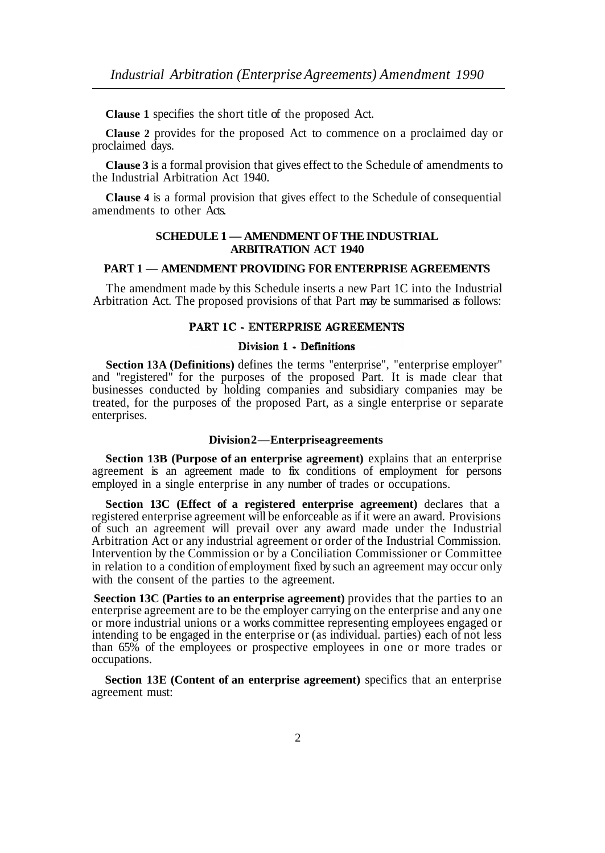**Clause 1** specifies the short title of the proposed Act.

**Clause 2** provides for the proposed Act to commence on a proclaimed day or proclaimed days.

**Clause 3** is a formal provision that gives effect to the Schedule of amendments to the Industrial Arbitration Act 1940.

**Clause 4** is a formal provision that gives effect to the Schedule of consequential amendments to other Acts.

# **SCHEDULE 1 — AMENDMENT OF THE INDUSTRIAL ARBITRATION ACT 1940**

# **PART 1 — AMENDMENT PROVIDING FOR ENTERPRISE AGREEMENTS**

The amendment made by this Schedule inserts a new Part 1C into the Industrial Arbitration Act. The proposed provisions of that Part may be summarised as follows:

# **PART 1C - ENTERPRISE AGREEMENTS**

#### Division 1 - Definitions

**Section 13A (Definitions)** defines the terms "enterprise", "enterprise employer" and "registered" for the purposes of the proposed Part. It is made clear that businesses conducted by holding companies and subsidiary companies may be treated, for the purposes of the proposed Part, as a single enterprise or separate enterprises.

#### **Division 2 — Enterprise agreements**

**Section 13B (Purpose of an enterprise agreement)** explains that an enterprise agreement is an agreement made to fix conditions of employment for persons employed in a single enterprise in any number of trades or occupations.

**Section 13C (Effect of a registered enterprise agreement)** declares that a registered enterprise agreement will be enforceable as if it were an award. Provisions of such an agreement will prevail over any award made under the Industrial Arbitration Act or any industrial agreement or order of the Industrial Commission. Intervention by the Commission or by a Conciliation Commissioner or Committee in relation to a condition of employment fixed by such an agreement may occur only with the consent of the parties to the agreement.

**Seection 13C (Parties to an enterprise agreement)** provides that the parties to an enterprise agreement are to be the employer carrying on the enterprise and any one or more industrial unions or a works committee representing employees engaged or intending to be engaged in the enterprise or (as individual. parties) each of not less than 65% of the employees or prospective employees in one or more trades or occupations.

**Section 13E (Content of an enterprise agreement)** specifics that an enterprise agreement must: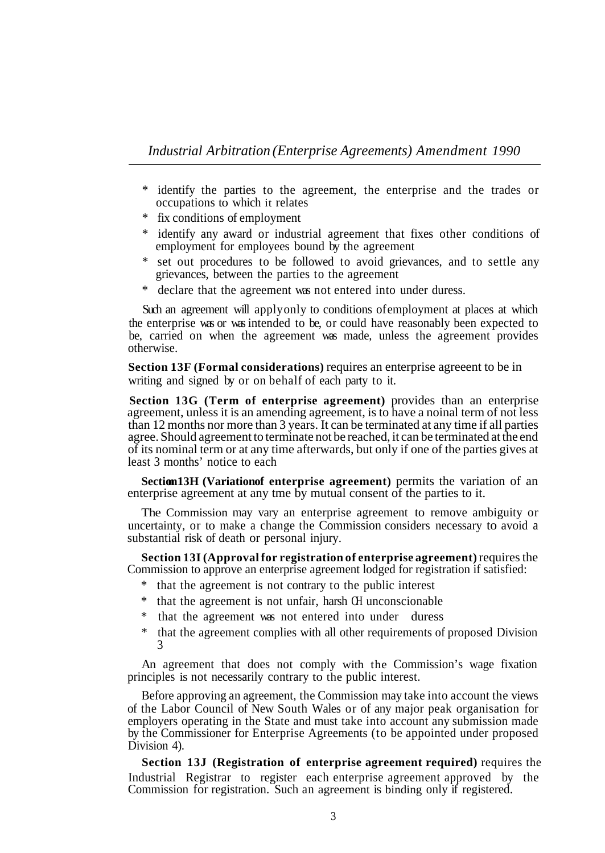- \* identify the parties to the agreement, the enterprise and the trades or occupations to which it relates
- \* fix conditions of employment
- \* identify any award or industrial agreement that fixes other conditions of employment for employees bound by the agreement
- \* set out procedures to be followed to avoid grievances, and to settle any grievances, between the parties to the agreement
- \* declare that the agreement was not entered into under duress.

Such an agreement will apply only to conditions of employment at places at which the enterprise was or was intended to be, or could have reasonably been expected to be, carried on when the agreement was made, unless the agreement provides otherwise.

**Section 13F (Formal considerations)** requires an enterprise agreeent to be in writing and signed by or on behalf of each party to it.

**Section 13G (Term of enterprise agreement)** provides than an enterprise agreement, unless it is an amending agreement, is to have a noinal term of not less than 12 months nor more than 3 years. It can be terminated at any time if all parties agree. Should agreement to terminate not be reached, it can be terminated at the end of its nominal term or at any time afterwards, but only if one of the parties gives at least 3 months' notice to each

**Section 13H (Variation of enterprise agreement)** permits the variation of an enterprise agreement at any tme by mutual consent of the parties to it.

The Commission may vary an enterprise agreement to remove ambiguity or uncertainty, or to make a change the Commission considers necessary to avoid a substantial risk of death or personal injury.

**Section 13I (Approval for registration of enterprise agreement)** requires the Commission to approve an enterprise agreement lodged for registration if satisfied:

- \* that the agreement is not contrary to the public interest
- \* that the agreement is not unfair, harsh OH unconscionable
- \* that the agreement was not entered into under duress
- \* that the agreement complies with all other requirements of proposed Division 3

An agreement that does not comply with the Commission's wage fixation principles is not necessarily contrary to the public interest.

Before approving an agreement, the Commission may take into account the views of the Labor Council of New South Wales or of any major peak organisation for employers operating in the State and must take into account any submission made by the Commissioner for Enterprise Agreements (to be appointed under proposed Division 4).

Industrial Registrar to register each enterprise agreement approved by the Commission for registration. Such an agreement is binding only if registered. **Section 13J (Registration of enterprise agreement required)** requires the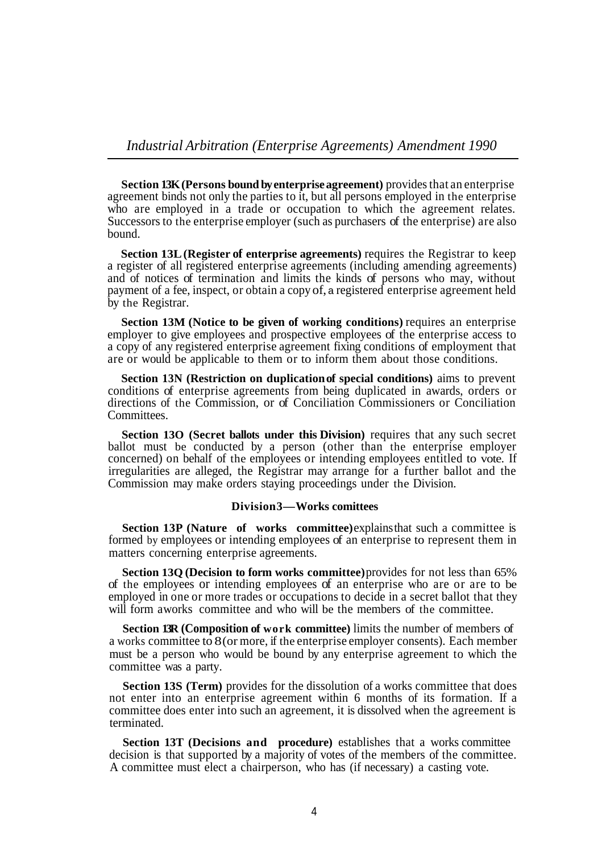**Section 13K (Persons bound by enterprise agreement)** provides that an enterprise agreement binds not only the parties to it, but all persons employed in the enterprise who are employed in a trade or occupation to which the agreement relates. Successors to the enterprise employer (such as purchasers of the enterprise) are also bound.

**Section 13L (Register of enterprise agreements)** requires the Registrar to keep a register of all registered enterprise agreements (including amending agreements) and of notices of termination and limits the kinds of persons who may, without payment of a fee, inspect, or obtain a copy of, a registered enterprise agreement held by the Registrar.

**Section 13M (Notice to be given of working conditions)** requires an enterprise employer to give employees and prospective employees of the enterprise access to a copy of any registered enterprise agreement fixing conditions of employment that are or would be applicable to them or to inform them about those conditions.

**Section 13N (Restriction on duplication of special conditions)** aims to prevent conditions of enterprise agreements from being duplicated in awards, orders or directions of the Commission, or of Conciliation Commissioners or Conciliation Committees.

**Section 13O (Secret ballots under this Division)** requires that any such secret ballot must be conducted by a person (other than the enterprise employer concerned) on behalf of the employees or intending employees entitled to vote. If irregularities are alleged, the Registrar may arrange for a further ballot and the Commission may make orders staying proceedings under the Division.

# **Division 3—Works comittees**

**Section 13P (Nature of works committee)** explains that such a committee is formed by employees or intending employees of an enterprise to represent them in matters concerning enterprise agreements.

**Section 13Q (Decision to form works committee)** provides for not less than 65% of the employees or intending employees of an enterprise who are or are to be employed in one or more trades or occupations to decide in a secret ballot that they will form aworks committee and who will be the members of the committee.

**Section 13R (Composition of work committee)** limits the number of members of a works committee to 8 (or more, if the enterprise employer consents). Each member must be a person who would be bound by any enterprise agreement to which the committee was a party.

**Section 13S (Term)** provides for the dissolution of a works committee that does not enter into an enterprise agreement within 6 months of its formation. If a committee does enter into such an agreement, it is dissolved when the agreement is terminated.

**Section 13T (Decisions and procedure)** establishes that a works committee decision is that supported by a majority of votes of the members of the committee. A committee must elect a chairperson, who has (if necessary) a casting vote.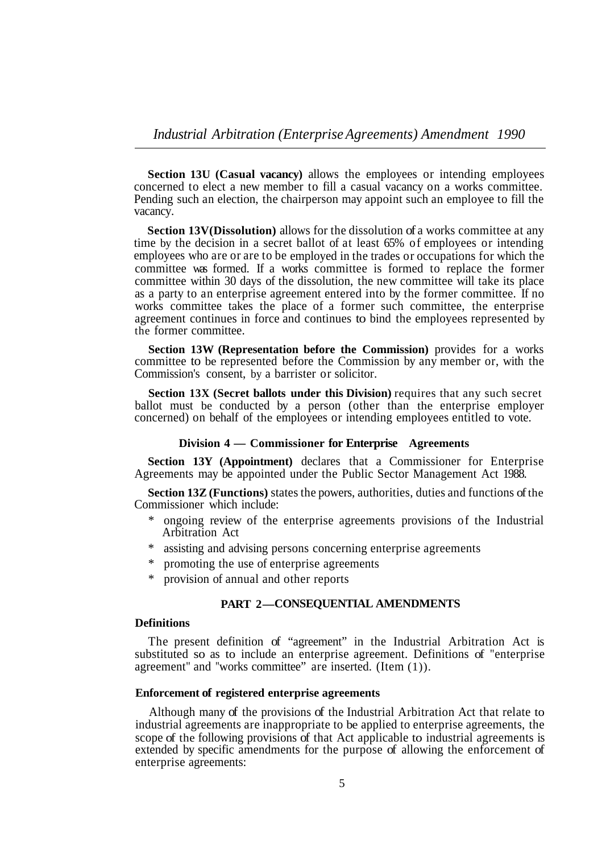**Section 13U (Casual vacancy)** allows the employees or intending employees concerned to elect a new member to fill a casual vacancy on a works committee. Pending such an election, the chairperson may appoint such an employee to fill the vacancy.

**Section 13V(Dissolution)** allows for the dissolution of a works committee at any time by the decision in a secret ballot of at least 65% of employees or intending employees who are or are to be employed in the trades or occupations for which the committee was formed. If a works committee is formed to replace the former committee within 30 days of the dissolution, the new committee will take its place as a party to an enterprise agreement entered into by the former committee. If no works committee takes the place of a former such committee, the enterprise agreement continues in force and continues to bind the employees represented by the former committee.

**Section 13W (Representation before the Commission)** provides for a works committee to be represented before the Commission by any member or, with the Commission's consent, by a barrister or solicitor.

**Section 13X (Secret ballots under this Division)** requires that any such secret ballot must be conducted by a person (other than the enterprise employer concerned) on behalf of the employees or intending employees entitled to vote.

#### **Division 4 — Commissioner for Enterprise Agreements**

**Section 13Y (Appointment)** declares that a Commissioner for Enterprise Agreements may be appointed under the Public Sector Management Act 1988.

**Section 13Z (Functions)** states the powers, authorities, duties and functions of the Commissioner which include:

- ongoing review of the enterprise agreements provisions of the Industrial Arbitration Act
- \* assisting and advising persons concerning enterprise agreements
- \* promoting the use of enterprise agreements
- \* provision of annual and other reports

# **PART 2— CONSEQUENTIAL AMENDMENTS**

# **Definitions**

The present definition of "agreement" in the Industrial Arbitration Act is substituted so as to include an enterprise agreement. Definitions of "enterprise agreement" and "works committee" are inserted. (Item (1)).

#### **Enforcement of registered enterprise agreements**

Although many of the provisions of the Industrial Arbitration Act that relate to industrial agreements are inappropriate to be applied to enterprise agreements, the scope of the following provisions of that Act applicable to industrial agreements is extended by specific amendments for the purpose of allowing the enforcement of enterprise agreements: